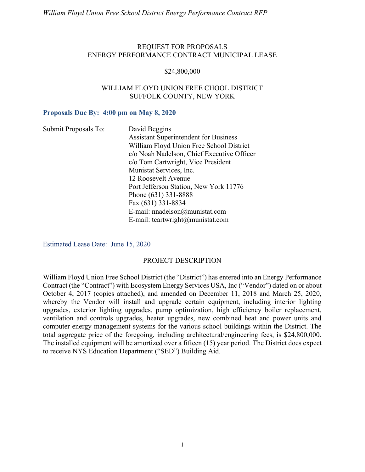#### REQUEST FOR PROPOSALS ENERGY PERFORMANCE CONTRACT MUNICIPAL LEASE

#### \$24,800,000

#### WILLIAM FLOYD UNION FREE CHOOL DISTRICT SUFFOLK COUNTY, NEW YORK

#### Proposals Due By: 4:00 pm on May 8, 2020

| Submit Proposals To: | David Beggins                                |
|----------------------|----------------------------------------------|
|                      | <b>Assistant Superintendent for Business</b> |
|                      | William Floyd Union Free School District     |
|                      | c/o Noah Nadelson, Chief Executive Officer   |
|                      | c/o Tom Cartwright, Vice President           |
|                      | Munistat Services, Inc.                      |
|                      | 12 Roosevelt Avenue                          |
|                      | Port Jefferson Station, New York 11776       |
|                      | Phone (631) 331-8888                         |
|                      | Fax (631) 331-8834                           |
|                      | E-mail: nnadelson $@$ munistat.com           |
|                      | E-mail: teartwright@munistat.com             |

Estimated Lease Date: June 15, 2020

#### PROJECT DESCRIPTION

William Floyd Union Free School District (the "District") has entered into an Energy Performance Contract (the "Contract") with Ecosystem Energy Services USA, Inc ("Vendor") dated on or about October 4, 2017 (copies attached), and amended on December 11, 2018 and March 25, 2020, whereby the Vendor will install and upgrade certain equipment, including interior lighting upgrades, exterior lighting upgrades, pump optimization, high efficiency boiler replacement, ventilation and controls upgrades, heater upgrades, new combined heat and power units and computer energy management systems for the various school buildings within the District. The total aggregate price of the foregoing, including architectural/engineering fees, is \$24,800,000. The installed equipment will be amortized over a fifteen (15) year period. The District does expect to receive NYS Education Department ("SED") Building Aid.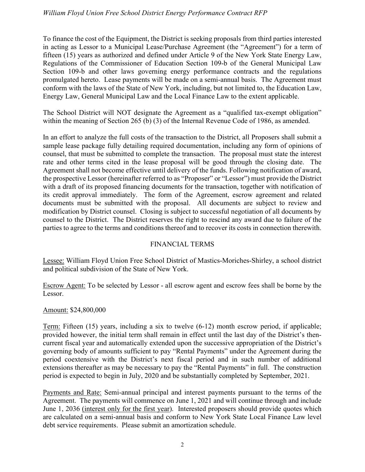To finance the cost of the Equipment, the District is seeking proposals from third parties interested in acting as Lessor to a Municipal Lease/Purchase Agreement (the "Agreement") for a term of fifteen (15) years as authorized and defined under Article 9 of the New York State Energy Law, Regulations of the Commissioner of Education Section 109-b of the General Municipal Law Section 109-b and other laws governing energy performance contracts and the regulations promulgated hereto. Lease payments will be made on a semi-annual basis. The Agreement must conform with the laws of the State of New York, including, but not limited to, the Education Law, Energy Law, General Municipal Law and the Local Finance Law to the extent applicable.

The School District will NOT designate the Agreement as a "qualified tax-exempt obligation" within the meaning of Section 265 (b) (3) of the Internal Revenue Code of 1986, as amended.

In an effort to analyze the full costs of the transaction to the District, all Proposers shall submit a sample lease package fully detailing required documentation, including any form of opinions of counsel, that must be submitted to complete the transaction. The proposal must state the interest rate and other terms cited in the lease proposal will be good through the closing date. The Agreement shall not become effective until delivery of the funds. Following notification of award, the prospective Lessor (hereinafter referred to as "Proposer" or "Lessor") must provide the District with a draft of its proposed financing documents for the transaction, together with notification of its credit approval immediately. The form of the Agreement, escrow agreement and related documents must be submitted with the proposal. All documents are subject to review and modification by District counsel. Closing is subject to successful negotiation of all documents by counsel to the District. The District reserves the right to rescind any award due to failure of the parties to agree to the terms and conditions thereof and to recover its costs in connection therewith.

# FINANCIAL TERMS

Lessee: William Floyd Union Free School District of Mastics-Moriches-Shirley, a school district and political subdivision of the State of New York.

Escrow Agent: To be selected by Lessor - all escrow agent and escrow fees shall be borne by the Lessor.

# Amount: \$24,800,000

Term: Fifteen (15) years, including a six to twelve (6-12) month escrow period, if applicable; provided however, the initial term shall remain in effect until the last day of the District's thencurrent fiscal year and automatically extended upon the successive appropriation of the District's governing body of amounts sufficient to pay "Rental Payments" under the Agreement during the period coextensive with the District's next fiscal period and in such number of additional extensions thereafter as may be necessary to pay the "Rental Payments" in full. The construction period is expected to begin in July, 2020 and be substantially completed by September, 2021.

Payments and Rate: Semi-annual principal and interest payments pursuant to the terms of the Agreement. The payments will commence on June 1, 2021 and will continue through and include June 1, 2036 (interest only for the first year). Interested proposers should provide quotes which are calculated on a semi-annual basis and conform to New York State Local Finance Law level debt service requirements. Please submit an amortization schedule.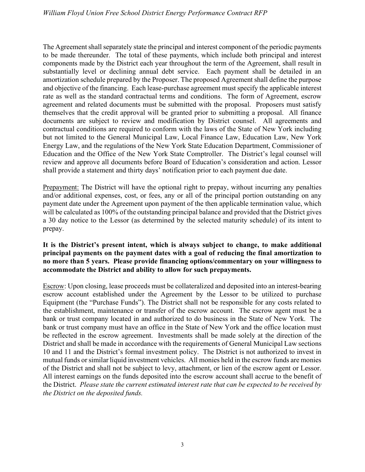The Agreement shall separately state the principal and interest component of the periodic payments to be made thereunder. The total of these payments, which include both principal and interest components made by the District each year throughout the term of the Agreement, shall result in substantially level or declining annual debt service. Each payment shall be detailed in an amortization schedule prepared by the Proposer. The proposed Agreement shall define the purpose and objective of the financing. Each lease-purchase agreement must specify the applicable interest rate as well as the standard contractual terms and conditions. The form of Agreement, escrow agreement and related documents must be submitted with the proposal. Proposers must satisfy themselves that the credit approval will be granted prior to submitting a proposal. All finance documents are subject to review and modification by District counsel. All agreements and contractual conditions are required to conform with the laws of the State of New York including but not limited to the General Municipal Law, Local Finance Law, Education Law, New York Energy Law, and the regulations of the New York State Education Department, Commissioner of Education and the Office of the New York State Comptroller. The District's legal counsel will review and approve all documents before Board of Education's consideration and action. Lessor shall provide a statement and thirty days' notification prior to each payment due date.

Prepayment: The District will have the optional right to prepay, without incurring any penalties and/or additional expenses, cost, or fees, any or all of the principal portion outstanding on any payment date under the Agreement upon payment of the then applicable termination value, which will be calculated as 100% of the outstanding principal balance and provided that the District gives a 30 day notice to the Lessor (as determined by the selected maturity schedule) of its intent to prepay.

### It is the District's present intent, which is always subject to change, to make additional principal payments on the payment dates with a goal of reducing the final amortization to no more than 5 years. Please provide financing options/commentary on your willingness to accommodate the District and ability to allow for such prepayments.

Escrow: Upon closing, lease proceeds must be collateralized and deposited into an interest-bearing escrow account established under the Agreement by the Lessor to be utilized to purchase Equipment (the "Purchase Funds"). The District shall not be responsible for any costs related to the establishment, maintenance or transfer of the escrow account. The escrow agent must be a bank or trust company located in and authorized to do business in the State of New York. The bank or trust company must have an office in the State of New York and the office location must be reflected in the escrow agreement. Investments shall be made solely at the direction of the District and shall be made in accordance with the requirements of General Municipal Law sections 10 and 11 and the District's formal investment policy. The District is not authorized to invest in mutual funds or similar liquid investment vehicles. All monies held in the escrow funds are monies of the District and shall not be subject to levy, attachment, or lien of the escrow agent or Lessor. All interest earnings on the funds deposited into the escrow account shall accrue to the benefit of the District. Please state the current estimated interest rate that can be expected to be received by the District on the deposited funds.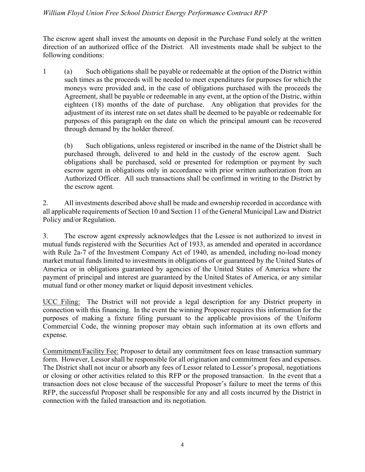The escrow agent shall invest the amounts on deposit in the Purchase Fund solely at the written direction of an authorized office of the District. All investments made shall be subject to the following conditions:

1 (a) Such obligations shall be payable or redeemable at the option of the District within such times as the proceeds will be needed to meet expenditures for purposes for which the moneys were provided and, in the case of obligations purchased with the proceeds the Agreement, shall be payable or redeemable in any event, at the option of the Distric, within eighteen (18) months of the date of purchase. Any obligation that provides for the adjustment of its interest rate on set dates shall be deemed to be payable or redeemable for purposes of this paragraph on the date on which the principal amount can be recovered through demand by the holder thereof.

(b) Such obligations, unless registered or inscribed in the name of the District shall be purchased through, delivered to and held in the custody of the escrow agent. Such obligations shall be purchased, sold or presented for redemption or payment by such escrow agent in obligations only in accordance with prior written authorization from an Authorized Officer. All such transactions shall be confirmed in writing to the District by the escrow agent.

2. All investments described above shall be made and ownership recorded in accordance with all applicable requirements of Section 10 and Section 11 of the General Municipal Law and District Policy and/or Regulation.

3. The escrow agent expressly acknowledges that the Lessee is not authorized to invest in mutual funds registered with the Securities Act of 1933, as amended and operated in accordance with Rule 2a-7 of the Investment Company Act of 1940, as amended, including no-load money market mutual funds limited to investments in obligations of or guaranteed by the United States of America or in obligations guaranteed by agencies of the United States of America where the payment of principal and interest are guaranteed by the United States of America, or any similar mutual fund or other money market or liquid deposit investment vehicles.

UCC Filing: The District will not provide a legal description for any District property in connection with this financing. In the event the winning Proposer requires this information for the purposes of making a fixture filing pursuant to the applicable provisions of the Uniform Commercial Code, the winning proposer may obtain such information at its own efforts and expense.

Commitment/Facility Fee: Proposer to detail any commitment fees on lease transaction summary form. However, Lessor shall be responsible for all origination and commitment fees and expenses. The District shall not incur or absorb any fees of Lessor related to Lessor's proposal, negotiations or closing or other activities related to this RFP or the proposed transaction. In the event that a transaction does not close because of the successful Proposer's failure to meet the terms of this RFP, the successful Proposer shall be responsible for any and all costs incurred by the District in connection with the failed transaction and its negotiation.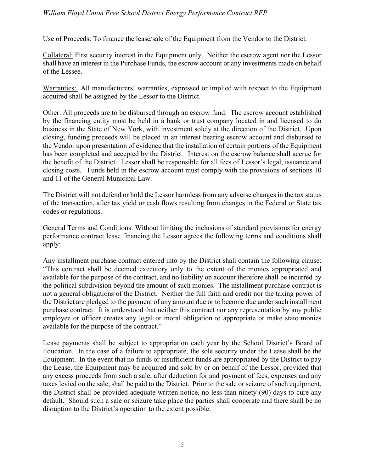Use of Proceeds: To finance the lease/sale of the Equipment from the Vendor to the District.

Collateral: First security interest in the Equipment only. Neither the escrow agent nor the Lessor shall have an interest in the Purchase Funds, the escrow account or any investments made on behalf of the Lessee.

Warranties: All manufacturers' warranties, expressed or implied with respect to the Equipment acquired shall be assigned by the Lessor to the District.

Other: All proceeds are to be disbursed through an escrow fund. The escrow account established by the financing entity must be held in a bank or trust company located in and licensed to do business in the State of New York, with investment solely at the direction of the District. Upon closing, funding proceeds will be placed in an interest bearing escrow account and disbursed to the Vendor upon presentation of evidence that the installation of certain portions of the Equipment has been completed and accepted by the District. Interest on the escrow balance shall accrue for the benefit of the District. Lessor shall be responsible for all fees of Lessor's legal, issuance and closing costs. Funds held in the escrow account must comply with the provisions of sections 10 and 11 of the General Municipal Law.

The District will not defend or hold the Lessor harmless from any adverse changes in the tax status of the transaction, after tax yield or cash flows resulting from changes in the Federal or State tax codes or regulations.

General Terms and Conditions: Without limiting the inclusions of standard provisions for energy performance contract lease financing the Lessor agrees the following terms and conditions shall apply:

Any installment purchase contract entered into by the District shall contain the following clause: "This contract shall be deemed executory only to the extent of the monies appropriated and available for the purpose of the contract, and no liability on account therefore shall be incurred by the political subdivision beyond the amount of such monies. The installment purchase contract is not a general obligations of the District. Neither the full faith and credit nor the taxing power of the District are pledged to the payment of any amount due or to become due under such installment purchase contract. It is understood that neither this contract nor any representation by any public employee or officer creates any legal or moral obligation to appropriate or make state monies available for the purpose of the contract."

Lease payments shall be subject to appropriation each year by the School District's Board of Education. In the case of a failure to appropriate, the sole security under the Lease shall be the Equipment. In the event that no funds or insufficient funds are appropriated by the District to pay the Lease, the Equipment may be acquired and sold by or on behalf of the Lessor, provided that any excess proceeds from such a sale, after deduction for and payment of fees, expenses and any taxes levied on the sale, shall be paid to the District. Prior to the sale or seizure of such equipment, the District shall be provided adequate written notice, no less than ninety (90) days to cure any default. Should such a sale or seizure take place the parties shall cooperate and there shall be no disruption to the District's operation to the extent possible.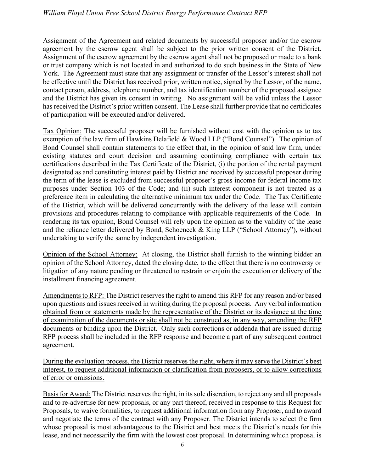Assignment of the Agreement and related documents by successful proposer and/or the escrow agreement by the escrow agent shall be subject to the prior written consent of the District. Assignment of the escrow agreement by the escrow agent shall not be proposed or made to a bank or trust company which is not located in and authorized to do such business in the State of New York. The Agreement must state that any assignment or transfer of the Lessor's interest shall not be effective until the District has received prior, written notice, signed by the Lessor, of the name, contact person, address, telephone number, and tax identification number of the proposed assignee and the District has given its consent in writing. No assignment will be valid unless the Lessor has received the District's prior written consent. The Lease shall further provide that no certificates of participation will be executed and/or delivered.

Tax Opinion: The successful proposer will be furnished without cost with the opinion as to tax exemption of the law firm of Hawkins Delafield & Wood LLP ("Bond Counsel"). The opinion of Bond Counsel shall contain statements to the effect that, in the opinion of said law firm, under existing statutes and court decision and assuming continuing compliance with certain tax certifications described in the Tax Certificate of the District, (i) the portion of the rental payment designated as and constituting interest paid by District and received by successful proposer during the term of the lease is excluded from successful proposer's gross income for federal income tax purposes under Section 103 of the Code; and (ii) such interest component is not treated as a preference item in calculating the alternative minimum tax under the Code. The Tax Certificate of the District, which will be delivered concurrently with the delivery of the lease will contain provisions and procedures relating to compliance with applicable requirements of the Code. In rendering its tax opinion, Bond Counsel will rely upon the opinion as to the validity of the lease and the reliance letter delivered by Bond, Schoeneck & King LLP ("School Attorney"), without undertaking to verify the same by independent investigation.

Opinion of the School Attorney: At closing, the District shall furnish to the winning bidder an opinion of the School Attorney, dated the closing date, to the effect that there is no controversy or litigation of any nature pending or threatened to restrain or enjoin the execution or delivery of the installment financing agreement.

Amendments to RFP: The District reserves the right to amend this RFP for any reason and/or based upon questions and issues received in writing during the proposal process. Any verbal information obtained from or statements made by the representative of the District or its designee at the time of examination of the documents or site shall not be construed as, in any way, amending the RFP documents or binding upon the District. Only such corrections or addenda that are issued during RFP process shall be included in the RFP response and become a part of any subsequent contract agreement.

During the evaluation process, the District reserves the right, where it may serve the District's best interest, to request additional information or clarification from proposers, or to allow corrections of error or omissions.

Basis for Award: The District reserves the right, in its sole discretion, to reject any and all proposals and to re-advertise for new proposals, or any part thereof, received in response to this Request for Proposals, to waive formalities, to request additional information from any Proposer, and to award and negotiate the terms of the contract with any Proposer. The District intends to select the firm whose proposal is most advantageous to the District and best meets the District's needs for this lease, and not necessarily the firm with the lowest cost proposal. In determining which proposal is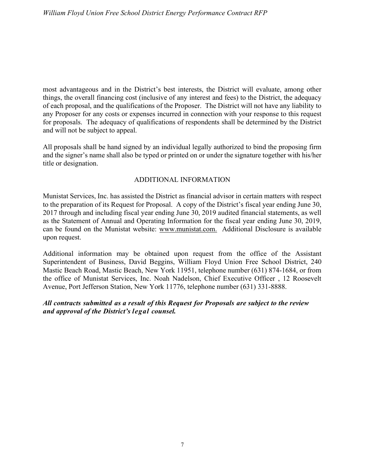most advantageous and in the District's best interests, the District will evaluate, among other things, the overall financing cost (inclusive of any interest and fees) to the District, the adequacy of each proposal, and the qualifications of the Proposer. The District will not have any liability to any Proposer for any costs or expenses incurred in connection with your response to this request for proposals. The adequacy of qualifications of respondents shall be determined by the District and will not be subject to appeal.

All proposals shall be hand signed by an individual legally authorized to bind the proposing firm and the signer's name shall also be typed or printed on or under the signature together with his/her title or designation.

### ADDITIONAL INFORMATION

Munistat Services, Inc. has assisted the District as financial advisor in certain matters with respect to the preparation of its Request for Proposal. A copy of the District's fiscal year ending June 30, 2017 through and including fiscal year ending June 30, 2019 audited financial statements, as well as the Statement of Annual and Operating Information for the fiscal year ending June 30, 2019, can be found on the Munistat website: www.munistat.com. Additional Disclosure is available upon request.

Additional information may be obtained upon request from the office of the Assistant Superintendent of Business, David Beggins, William Floyd Union Free School District, 240 Mastic Beach Road, Mastic Beach, New York 11951, telephone number (631) 874-1684, or from the office of Munistat Services, Inc. Noah Nadelson, Chief Executive Officer , 12 Roosevelt Avenue, Port Jefferson Station, New York 11776, telephone number (631) 331-8888.

### All contracts submitted as a result of this Request for Proposals are subject to the review and approval of the District's legal counsel.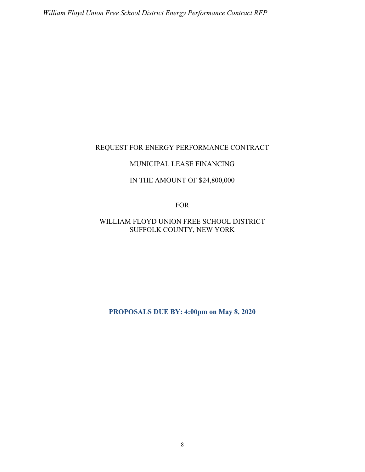### REQUEST FOR ENERGY PERFORMANCE CONTRACT

#### MUNICIPAL LEASE FINANCING

### IN THE AMOUNT OF \$24,800,000

FOR

# WILLIAM FLOYD UNION FREE SCHOOL DISTRICT SUFFOLK COUNTY, NEW YORK

PROPOSALS DUE BY: 4:00pm on May 8, 2020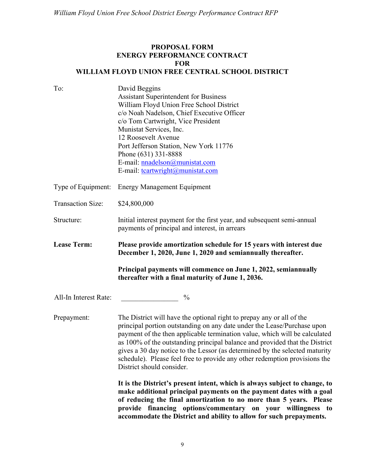## PROPOSAL FORM ENERGY PERFORMANCE CONTRACT FOR WILLIAM FLOYD UNION FREE CENTRAL SCHOOL DISTRICT

| To:                      | David Beggins<br><b>Assistant Superintendent for Business</b><br>William Floyd Union Free School District<br>c/o Noah Nadelson, Chief Executive Officer<br>c/o Tom Cartwright, Vice President<br>Munistat Services, Inc.<br>12 Roosevelt Avenue<br>Port Jefferson Station, New York 11776<br>Phone (631) 331-8888<br>E-mail: nnadelson@munistat.com<br>E-mail: tcartwright@munistat.com                                                                                                                 |
|--------------------------|---------------------------------------------------------------------------------------------------------------------------------------------------------------------------------------------------------------------------------------------------------------------------------------------------------------------------------------------------------------------------------------------------------------------------------------------------------------------------------------------------------|
| Type of Equipment:       | <b>Energy Management Equipment</b>                                                                                                                                                                                                                                                                                                                                                                                                                                                                      |
| <b>Transaction Size:</b> | \$24,800,000                                                                                                                                                                                                                                                                                                                                                                                                                                                                                            |
| Structure:               | Initial interest payment for the first year, and subsequent semi-annual<br>payments of principal and interest, in arrears                                                                                                                                                                                                                                                                                                                                                                               |
| <b>Lease Term:</b>       | Please provide amortization schedule for 15 years with interest due<br>December 1, 2020, June 1, 2020 and semiannually thereafter.                                                                                                                                                                                                                                                                                                                                                                      |
|                          | Principal payments will commence on June 1, 2022, semiannually<br>thereafter with a final maturity of June 1, 2036.                                                                                                                                                                                                                                                                                                                                                                                     |
| All-In Interest Rate:    | $\frac{0}{0}$                                                                                                                                                                                                                                                                                                                                                                                                                                                                                           |
| Prepayment:              | The District will have the optional right to prepay any or all of the<br>principal portion outstanding on any date under the Lease/Purchase upon<br>payment of the then applicable termination value, which will be calculated<br>as 100% of the outstanding principal balance and provided that the District<br>gives a 30 day notice to the Lessor (as determined by the selected maturity<br>schedule). Please feel free to provide any other redemption provisions the<br>District should consider. |
|                          | It is the District's present intent, which is always subject to change, to<br>make additional principal payments on the payment dates with a goal<br>of reducing the final amortization to no more than 5 years. Please<br>provide financing options/commentary on your willingness to<br>accommodate the District and ability to allow for such prepayments.                                                                                                                                           |